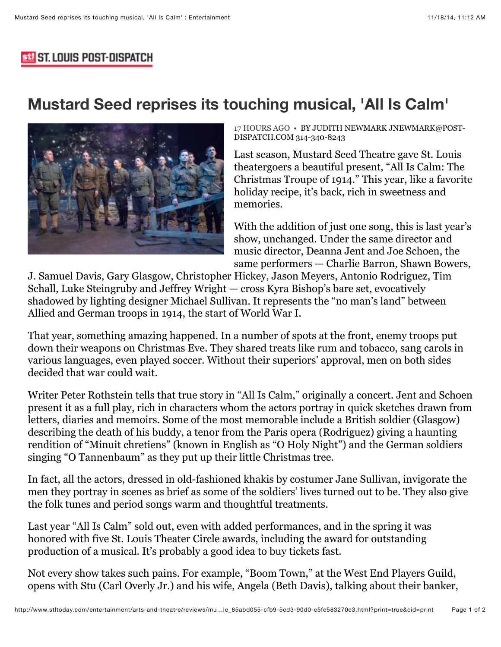## **533 ST. LOUIS POST-DISPATCH**

# **Mustard Seed reprises its touching musical, 'All Is Calm'**



[17 HOURS AGO • BY JUDITH NEWMARK JNEWMARK@POST-](http://www.stltoday.com/search/?l=50&sd=desc&s=start_time&f=html&byline=By%20Judith%20Newmark%0Ajnewmark%40post-dispatch.com%0A314-340-8243)DISPATCH.COM 314-340-8243

Last season, Mustard Seed Theatre gave St. Louis theatergoers a beautiful present, "All Is Calm: The Christmas Troupe of 1914." This year, like a favorite holiday recipe, it's back, rich in sweetness and memories.

With the addition of just one song, this is last year's show, unchanged. Under the same director and music director, Deanna Jent and Joe Schoen, the same performers — Charlie Barron, Shawn Bowers,

J. Samuel Davis, Gary Glasgow, Christopher Hickey, Jason Meyers, Antonio Rodriguez, Tim Schall, Luke Steingruby and Jeffrey Wright — cross Kyra Bishop's bare set, evocatively shadowed by lighting designer Michael Sullivan. It represents the "no man's land" between Allied and German troops in 1914, the start of World War I.

That year, something amazing happened. In a number of spots at the front, enemy troops put down their weapons on Christmas Eve. They shared treats like rum and tobacco, sang carols in various languages, even played soccer. Without their superiors' approval, men on both sides decided that war could wait.

Writer Peter Rothstein tells that true story in "All Is Calm," originally a concert. Jent and Schoen present it as a full play, rich in characters whom the actors portray in quick sketches drawn from letters, diaries and memoirs. Some of the most memorable include a British soldier (Glasgow) describing the death of his buddy, a tenor from the Paris opera (Rodriguez) giving a haunting rendition of "Minuit chretiens" (known in English as "O Holy Night") and the German soldiers singing "O Tannenbaum" as they put up their little Christmas tree.

In fact, all the actors, dressed in old-fashioned khakis by costumer Jane Sullivan, invigorate the men they portray in scenes as brief as some of the soldiers' lives turned out to be. They also give the folk tunes and period songs warm and thoughtful treatments.

Last year "All Is Calm" sold out, even with added performances, and in the spring it was honored with five St. Louis Theater Circle awards, including the award for outstanding production of a musical. It's probably a good idea to buy tickets fast.

Not every show takes such pains. For example, "Boom Town," at the West End Players Guild, opens with Stu (Carl Overly Jr.) and his wife, Angela (Beth Davis), talking about their banker,